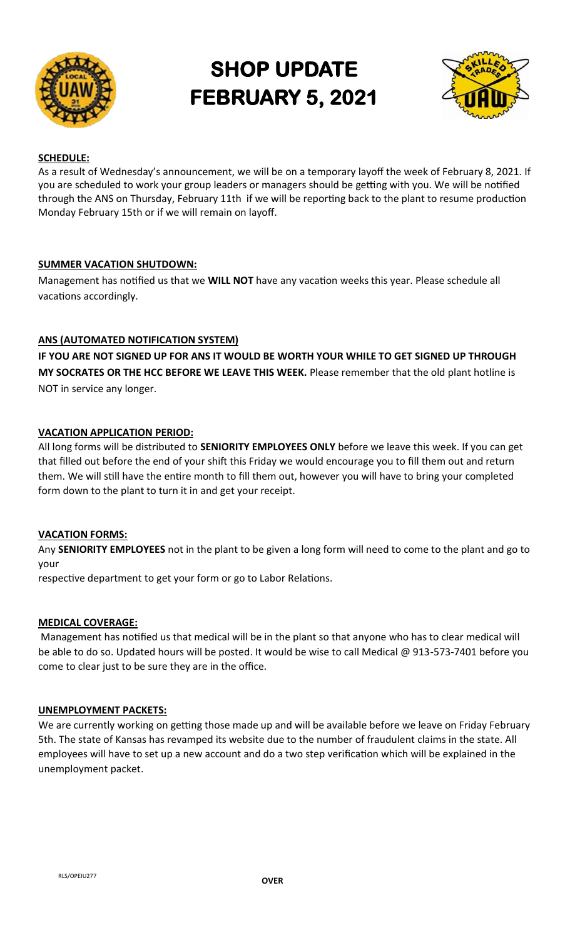

# **SHOP UPDATE FEBRUARY 5, 2021**



# **SCHEDULE:**

As a result of Wednesday's announcement, we will be on a temporary layoff the week of February 8, 2021. If you are scheduled to work your group leaders or managers should be getting with you. We will be notified through the ANS on Thursday, February 11th if we will be reporting back to the plant to resume production Monday February 15th or if we will remain on layoff.

# **SUMMER VACATION SHUTDOWN:**

Management has notified us that we **WILL NOT** have any vacation weeks this year. Please schedule all vacations accordingly.

# **ANS (AUTOMATED NOTIFICATION SYSTEM)**

**IF YOU ARE NOT SIGNED UP FOR ANS IT WOULD BE WORTH YOUR WHILE TO GET SIGNED UP THROUGH MY SOCRATES OR THE HCC BEFORE WE LEAVE THIS WEEK.** Please remember that the old plant hotline is NOT in service any longer.

# **VACATION APPLICATION PERIOD:**

All long forms will be distributed to **SENIORITY EMPLOYEES ONLY** before we leave this week. If you can get that filled out before the end of your shift this Friday we would encourage you to fill them out and return them. We will still have the entire month to fill them out, however you will have to bring your completed form down to the plant to turn it in and get your receipt.

## **VACATION FORMS:**

Any **SENIORITY EMPLOYEES** not in the plant to be given a long form will need to come to the plant and go to your

respective department to get your form or go to Labor Relations.

## **MEDICAL COVERAGE:**

Management has notified us that medical will be in the plant so that anyone who has to clear medical will be able to do so. Updated hours will be posted. It would be wise to call Medical @ 913-573-7401 before you come to clear just to be sure they are in the office.

## **UNEMPLOYMENT PACKETS:**

We are currently working on getting those made up and will be available before we leave on Friday February 5th. The state of Kansas has revamped its website due to the number of fraudulent claims in the state. All employees will have to set up a new account and do a two step verification which will be explained in the unemployment packet.